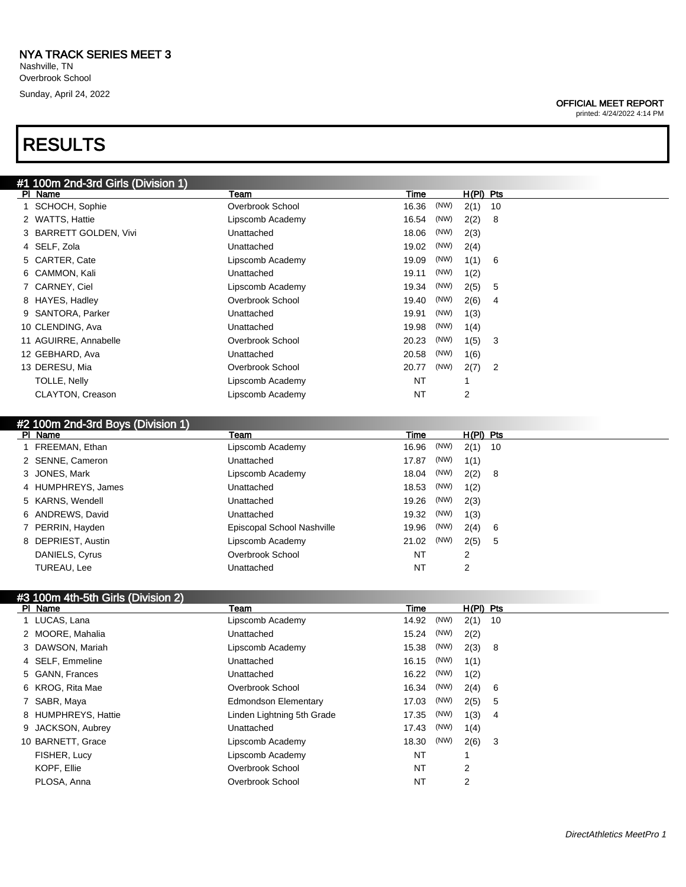Nashville, TN Overbrook School Sunday, April 24, 2022

# RESULTS

#### OFFICIAL MEET REPORT

printed: 4/24/2022 4:14 PM

| #1 100m 2nd-3rd Girls (Division 1) |                  |           |      |             |                |
|------------------------------------|------------------|-----------|------|-------------|----------------|
| PI Name                            | Team             | Time      |      | $H(PI)$ Pts |                |
| 1 SCHOCH, Sophie                   | Overbrook School | 16.36     | (NW) | 2(1)        | -10            |
| 2 WATTS, Hattie                    | Lipscomb Academy | 16.54     | (NW) | 2(2)        | - 8            |
| 3 BARRETT GOLDEN, Vivi             | Unattached       | 18.06     | (NW) | 2(3)        |                |
| 4 SELF, Zola                       | Unattached       | 19.02     | (NW) | 2(4)        |                |
| 5 CARTER, Cate                     | Lipscomb Academy | 19.09     | (NW) | 1(1)        | - 6            |
| 6 CAMMON, Kali                     | Unattached       | 19.11     | (NW) | 1(2)        |                |
| 7 CARNEY, Ciel                     | Lipscomb Academy | 19.34     | (NW) | 2(5)        | 5              |
| 8 HAYES, Hadley                    | Overbrook School | 19.40     | (NW) | 2(6)        | 4              |
| 9 SANTORA, Parker                  | Unattached       | 19.91     | (NW) | 1(3)        |                |
| 10 CLENDING, Ava                   | Unattached       | 19.98     | (NW) | 1(4)        |                |
| 11 AGUIRRE, Annabelle              | Overbrook School | 20.23     | (NW) | 1(5)        | 3              |
| 12 GEBHARD, Ava                    | Unattached       | 20.58     | (NW) | 1(6)        |                |
| 13 DERESU, Mia                     | Overbrook School | 20.77     | (NW) | 2(7)        | $\overline{2}$ |
| TOLLE, Nelly                       | Lipscomb Academy | <b>NT</b> |      |             |                |
| <b>CLAYTON, Creason</b>            | Lipscomb Academy | NT        |      | 2           |                |
|                                    |                  |           |      |             |                |

| #2 100m 2nd-3rd Boys (Division 1) |                            |           |      |             |     |
|-----------------------------------|----------------------------|-----------|------|-------------|-----|
| PI Name                           | Team                       | Time      |      | $H(PI)$ Pts |     |
| 1 FREEMAN, Ethan                  | Lipscomb Academy           | 16.96     | (NW) | $2(1)$ 10   |     |
| 2 SENNE, Cameron                  | Unattached                 | 17.87     | (NW) | 1(1)        |     |
| 3 JONES, Mark                     | Lipscomb Academy           | 18.04     | (NW) | $2(2)$ 8    |     |
| 4 HUMPHREYS, James                | Unattached                 | 18.53     | (NW) | 1(2)        |     |
| 5 KARNS, Wendell                  | Unattached                 | 19.26     | (NW) | 2(3)        |     |
| 6 ANDREWS, David                  | Unattached                 | 19.32     | (NW) | 1(3)        |     |
| 7 PERRIN, Hayden                  | Episcopal School Nashville | 19.96     | (NW) | 2(4)        | - 6 |
| 8 DEPRIEST, Austin                | Lipscomb Academy           | 21.02     | (NW) | 2(5)        | - 5 |
| DANIELS, Cyrus                    | Overbrook School           | <b>NT</b> |      | 2           |     |
| TUREAU, Lee                       | Unattached                 | NT        |      | 2           |     |

## #3 100m 4th-5th Girls (Division 2)

| PI Name             | Team                        | Time      |      | $H(PI)$ Pts |     |
|---------------------|-----------------------------|-----------|------|-------------|-----|
| 1 LUCAS, Lana       | Lipscomb Academy            | 14.92     | (NW) | 2(1)        | -10 |
| 2 MOORE, Mahalia    | Unattached                  | 15.24     | (NW) | 2(2)        |     |
| 3 DAWSON, Mariah    | Lipscomb Academy            | 15.38     | (NW) | 2(3)        | - 8 |
| 4 SELF, Emmeline    | Unattached                  | 16.15     | (NW) | 1(1)        |     |
| 5 GANN, Frances     | Unattached                  | 16.22     | (NW) | 1(2)        |     |
| 6 KROG, Rita Mae    | Overbrook School            | 16.34     | (NW) | 2(4)        | - 6 |
| 7 SABR, Maya        | <b>Edmondson Elementary</b> | 17.03     | (NW) | 2(5)        | 5   |
| 8 HUMPHREYS, Hattie | Linden Lightning 5th Grade  | 17.35     | (NW) | 1(3)        | 4   |
| 9 JACKSON, Aubrey   | Unattached                  | 17.43     | (NW) | 1(4)        |     |
| 10 BARNETT, Grace   | Lipscomb Academy            | 18.30     | (NW) | 2(6)        | 3   |
| FISHER, Lucy        | Lipscomb Academy            | NT        |      |             |     |
| KOPF, Ellie         | Overbrook School            | <b>NT</b> |      | 2           |     |
| PLOSA, Anna         | Overbrook School            | NT        |      | 2           |     |
|                     |                             |           |      |             |     |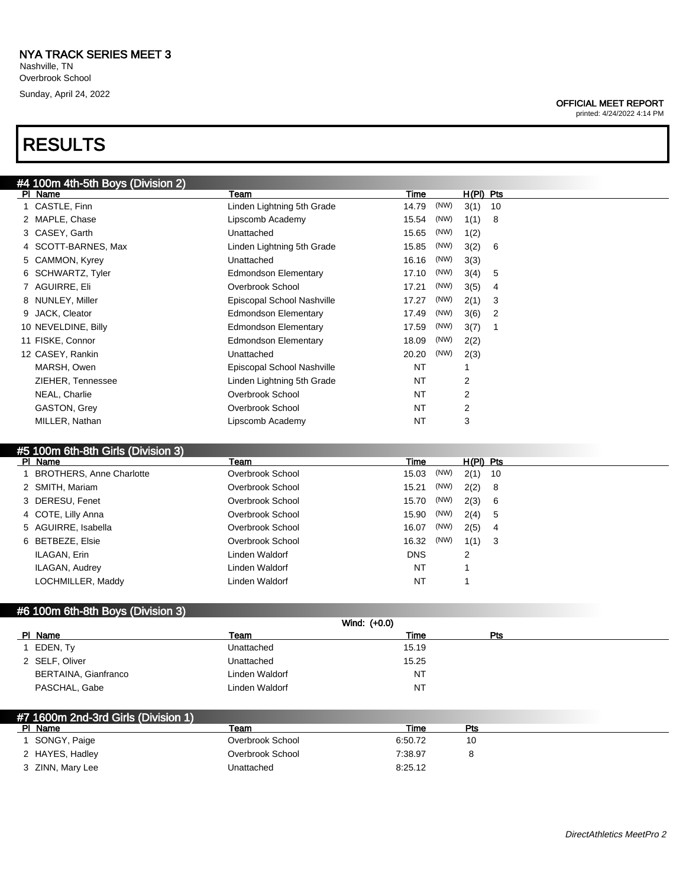Nashville, TN Overbrook School Sunday, April 24, 2022

# RESULTS

### OFFICIAL MEET REPORT

printed: 4/24/2022 4:14 PM

| #4 100m 4th-5th Boys (Division 2) |                             |       |      |             |    |
|-----------------------------------|-----------------------------|-------|------|-------------|----|
| PI Name                           | Team                        | Time  |      | $H(PI)$ Pts |    |
| 1 CASTLE, Finn                    | Linden Lightning 5th Grade  | 14.79 | (NW) | 3(1)        | 10 |
| 2 MAPLE, Chase                    | Lipscomb Academy            | 15.54 | (NW) | 1(1)        | 8  |
| 3 CASEY, Garth                    | Unattached                  | 15.65 | (NW) | 1(2)        |    |
| 4 SCOTT-BARNES, Max               | Linden Lightning 5th Grade  | 15.85 | (NW) | 3(2)        | -6 |
| 5 CAMMON, Kyrey                   | Unattached                  | 16.16 | (NW) | 3(3)        |    |
| 6 SCHWARTZ, Tyler                 | <b>Edmondson Elementary</b> | 17.10 | (NW) | 3(4)        | 5  |
| 7 AGUIRRE, Eli                    | Overbrook School            | 17.21 | (NW) | 3(5)        | 4  |
| 8 NUNLEY, Miller                  | Episcopal School Nashville  | 17.27 | (NW) | 2(1)        | 3  |
| 9 JACK, Cleator                   | <b>Edmondson Elementary</b> | 17.49 | (NW) | 3(6)        | 2  |
| 10 NEVELDINE, Billy               | <b>Edmondson Elementary</b> | 17.59 | (NW) | 3(7)        |    |
| 11 FISKE, Connor                  | <b>Edmondson Elementary</b> | 18.09 | (NW) | 2(2)        |    |
| 12 CASEY, Rankin                  | Unattached                  | 20.20 | (NW) | 2(3)        |    |
| MARSH, Owen                       | Episcopal School Nashville  | NT    |      |             |    |
| ZIEHER, Tennessee                 | Linden Lightning 5th Grade  | NT    |      | 2           |    |
| NEAL, Charlie                     | Overbrook School            | NT    |      | 2           |    |
| <b>GASTON, Grey</b>               | Overbrook School            | NT    |      | 2           |    |
| MILLER, Nathan                    | Lipscomb Academy            | NT    |      | 3           |    |

### #5 100m 6th-8th Girls (Division 3)

| _______________________<br>PI Name | Team             | Time       |      | $H(PI)$ Pts |     |
|------------------------------------|------------------|------------|------|-------------|-----|
| <b>BROTHERS, Anne Charlotte</b>    | Overbrook School | 15.03      | (NW) | $2(1)$ 10   |     |
| 2 SMITH, Mariam                    | Overbrook School | 15.21      | (NW) | 2(2)        | - 8 |
| 3 DERESU, Fenet                    | Overbrook School | 15.70      | (NW) | 2(3)        | - 6 |
| 4 COTE, Lilly Anna                 | Overbrook School | 15.90      | (NW) | 2(4) 5      |     |
| 5 AGUIRRE, Isabella                | Overbrook School | 16.07      | (NW) | 2(5)        | - 4 |
| 6 BETBEZE, Elsie                   | Overbrook School | 16.32      | (NW) | $1(1)$ 3    |     |
| ILAGAN, Erin                       | Linden Waldorf   | <b>DNS</b> |      | 2           |     |
| ILAGAN, Audrey                     | Linden Waldorf   | NT         |      |             |     |
| LOCHMILLER, Maddy                  | Linden Waldorf   | NT         |      |             |     |

## #6 100m 6th-8th Boys (Division 3)

| Wind: $(+0.0)$       |                |           |     |  |  |
|----------------------|----------------|-----------|-----|--|--|
| PI Name              | Team           | Time      | Pts |  |  |
| EDEN, Ty             | Unattached     | 15.19     |     |  |  |
| 2 SELF, Oliver       | Unattached     | 15.25     |     |  |  |
| BERTAINA, Gianfranco | Linden Waldorf | <b>NT</b> |     |  |  |
| PASCHAL, Gabe        | Linden Waldorf | <b>NT</b> |     |  |  |

| #7 1600m 2nd-3rd Girls (Division 1) |                  |         |     |
|-------------------------------------|------------------|---------|-----|
| PI Name                             | Team             | Time    | Pts |
| SONGY, Paige                        | Overbrook School | 6:50.72 | 10  |
| 2 HAYES, Hadley                     | Overbrook School | 7:38.97 |     |
| ZINN, Mary Lee                      | Unattached       | 8:25.12 |     |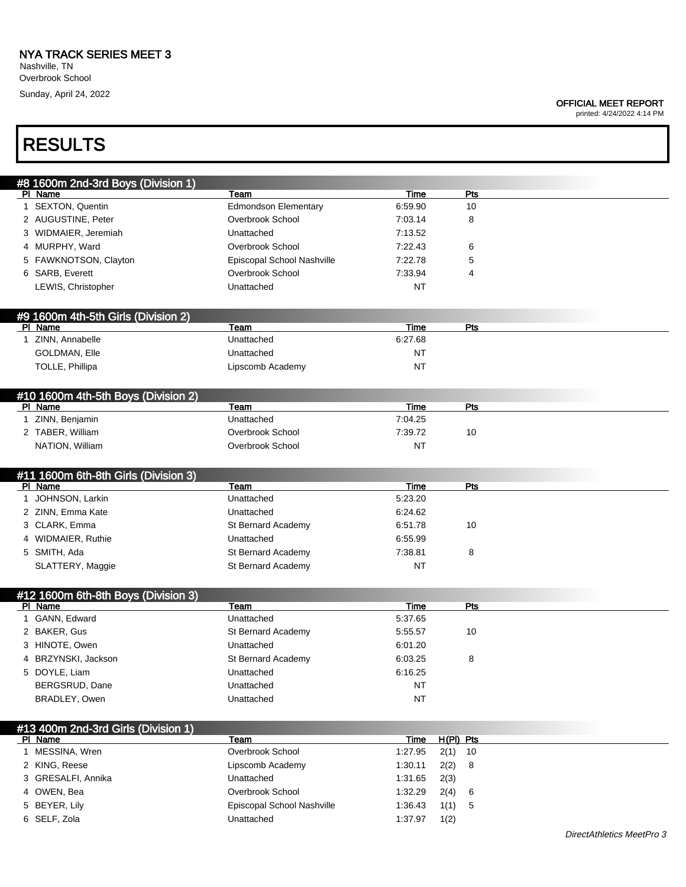Nashville, TN Overbrook School Sunday, April 24, 2022

## OFFICIAL MEET REPORT

| <b>RESULTS</b>                                 |                                  |                    |             |                           |
|------------------------------------------------|----------------------------------|--------------------|-------------|---------------------------|
| #8 1600m 2nd-3rd Boys (Division 1)             |                                  |                    |             |                           |
| PI Name                                        | Team                             | Time               | Pts         |                           |
| 1 SEXTON, Quentin                              | <b>Edmondson Elementary</b>      | 6:59.90            | 10          |                           |
| 2 AUGUSTINE, Peter                             | Overbrook School                 | 7:03.14            | 8           |                           |
| 3 WIDMAIER, Jeremiah                           | Unattached                       | 7:13.52            |             |                           |
| 4 MURPHY, Ward                                 | Overbrook School                 | 7:22.43            | 6           |                           |
| 5 FAWKNOTSON, Clayton                          | Episcopal School Nashville       | 7:22.78            | 5           |                           |
| 6 SARB, Everett                                | Overbrook School                 | 7:33.94            | 4           |                           |
| LEWIS, Christopher                             | Unattached                       | <b>NT</b>          |             |                           |
| #9 1600m 4th-5th Girls (Division 2)            |                                  |                    |             |                           |
| PI Name                                        | Team                             | Time               | Pts         |                           |
| 1 ZINN, Annabelle                              | Unattached                       | 6:27.68            |             |                           |
| GOLDMAN, Elle                                  | Unattached                       | <b>NT</b>          |             |                           |
| TOLLE, Phillipa                                | Lipscomb Academy                 | <b>NT</b>          |             |                           |
| #10 1600m 4th-5th Boys (Division 2)            |                                  |                    |             |                           |
| PI Name                                        | Team                             | Time               | Pts         |                           |
| 1 ZINN, Benjamin                               | Unattached                       | 7:04.25            |             |                           |
| 2 TABER, William                               | Overbrook School                 | 7:39.72            | 10          |                           |
| NATION, William                                | Overbrook School                 | <b>NT</b>          |             |                           |
| #11 1600m 6th-8th Girls (Division 3)           |                                  |                    |             |                           |
| PI Name                                        | Team                             | Time<br>5:23.20    | Pts         |                           |
| 1 JOHNSON, Larkin                              | Unattached                       |                    |             |                           |
| 2 ZINN, Emma Kate                              | Unattached                       | 6:24.62            |             |                           |
| 3 CLARK, Emma                                  | St Bernard Academy               | 6:51.78            | 10          |                           |
| 4 WIDMAIER, Ruthie<br>5 SMITH, Ada             | Unattached<br>St Bernard Academy | 6:55.99<br>7:38.81 | 8           |                           |
| SLATTERY, Maggie                               | St Bernard Academy               | <b>NT</b>          |             |                           |
|                                                |                                  |                    |             |                           |
| #12 1600m 6th-8th Boys (Division 3)<br>PI Name | Team                             | Time               | Pts         |                           |
| GANN, Edward<br>1.                             | Unattached                       | 5:37.65            |             |                           |
| 2 BAKER, Gus                                   | St Bernard Academy               | 5:55.57            | 10          |                           |
| 3 HINOTE, Owen                                 | Unattached                       | 6:01.20            |             |                           |
| 4 BRZYNSKI, Jackson                            | St Bernard Academy               | 6:03.25            | 8           |                           |
| 5 DOYLE, Liam                                  | Unattached                       | 6:16.25            |             |                           |
| BERGSRUD, Dane                                 | Unattached                       | <b>NT</b>          |             |                           |
| BRADLEY, Owen                                  | Unattached                       | <b>NT</b>          |             |                           |
| #13 400m 2nd-3rd Girls (Division 1)            |                                  |                    |             |                           |
| PI Name                                        | Team                             | <b>Time</b>        | $H(PI)$ Pts |                           |
| 1 MESSINA, Wren                                | Overbrook School                 | 1:27.95            | 2(1)<br>10  |                           |
| 2 KING, Reese                                  | Lipscomb Academy                 | 1:30.11            | 2(2)<br>8   |                           |
| 3 GRESALFI, Annika                             | Unattached                       | 1:31.65            | 2(3)        |                           |
| 4 OWEN, Bea                                    | Overbrook School                 | 1:32.29            | 2(4)<br>6   |                           |
| 5 BEYER, Lily                                  | Episcopal School Nashville       | 1:36.43            | 1(1)<br>5   |                           |
| 6 SELF, Zola                                   | Unattached                       | 1:37.97            | 1(2)        |                           |
|                                                |                                  |                    |             | DirectAthletics MeetPro 3 |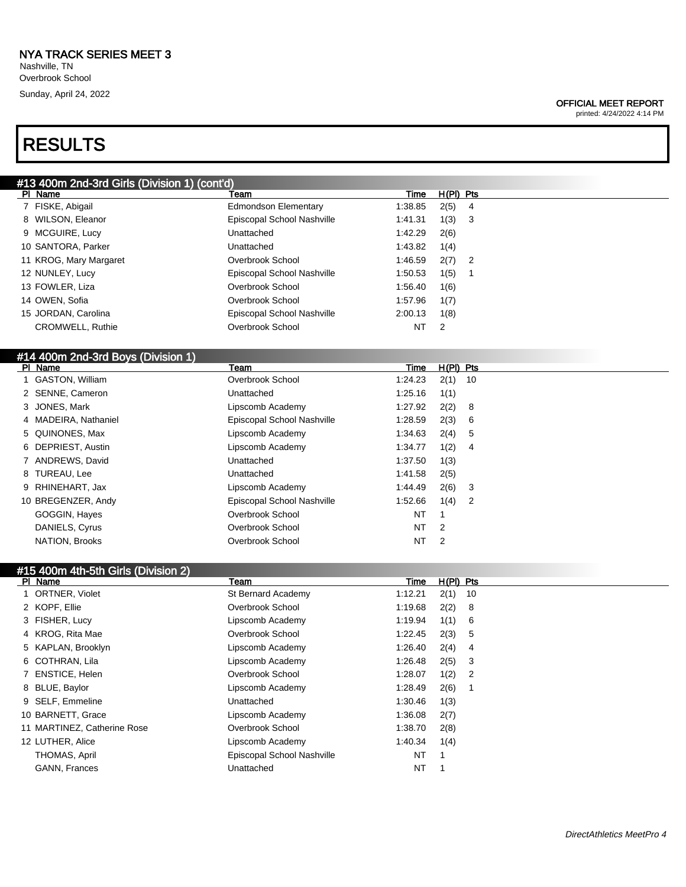## OFFICIAL MEET REPORT

printed: 4/24/2022 4:14 PM

## RESULTS

| #13 400m 2nd-3rd Girls (Division 1) (cont'd) |                             |         |                        |  |
|----------------------------------------------|-----------------------------|---------|------------------------|--|
| PI Name                                      | Team                        | Time    | $H(PI)$ Pts            |  |
| 7 FISKE, Abigail                             | <b>Edmondson Elementary</b> | 1:38.85 | 2(5)<br>4              |  |
| WILSON, Eleanor                              | Episcopal School Nashville  | 1:41.31 | 1(3)<br>3              |  |
| 9 MCGUIRE, Lucy                              | Unattached                  | 1:42.29 | 2(6)                   |  |
| 10 SANTORA, Parker                           | Unattached                  | 1:43.82 | 1(4)                   |  |
| 11 KROG, Mary Margaret                       | Overbrook School            | 1:46.59 | 2(7)<br>$\overline{2}$ |  |
| 12 NUNLEY, Lucy                              | Episcopal School Nashville  | 1:50.53 | 1(5)                   |  |
| 13 FOWLER, Liza                              | Overbrook School            | 1:56.40 | 1(6)                   |  |
| 14 OWEN, Sofia                               | Overbrook School            | 1:57.96 | 1(7)                   |  |
| 15 JORDAN, Carolina                          | Episcopal School Nashville  | 2:00.13 | 1(8)                   |  |
| <b>CROMWELL, Ruthie</b>                      | Overbrook School            | NT      | 2                      |  |
|                                              |                             |         |                        |  |
| #14 400m 2nd-3rd Boys (Division 1)           |                             |         |                        |  |
| PI Name                                      | Team                        | Time    | $H(PI)$ Pts            |  |
| 1 GASTON, William                            | Overbrook School            | 1:24.23 | 2(1)<br>-10            |  |
| SENNE, Cameron                               | Unattached                  | 1:25.16 | 1(1)                   |  |
| JONES, Mark<br>3                             | Lipscomb Academy            | 1:27.92 | 2(2)<br>8              |  |
| 4 MADEIRA, Nathaniel                         | Episcopal School Nashville  | 1:28.59 | 2(3)<br>6              |  |
| 5 QUINONES, Max                              | Lipscomb Academy            | 1:34.63 | 2(4)<br>5              |  |
| 6 DEPRIEST, Austin                           | Lipscomb Academy            | 1:34.77 | 1(2)<br>4              |  |

| 7 ANDREWS, David   | Unattached                 | 1:37.50 | 1(3) |                            |
|--------------------|----------------------------|---------|------|----------------------------|
| 8 TUREAU, Lee      | Unattached                 | 1:41.58 | 2(5) |                            |
| 9 RHINEHART, Jax   | Lipscomb Academy           | 1:44.49 | 2(6) | - 3                        |
| 10 BREGENZER, Andy | Episcopal School Nashville | 1:52.66 | 1(4) | $\overline{\phantom{0}}^2$ |
| GOGGIN, Hayes      | Overbrook School           | NT      |      |                            |
| DANIELS, Cyrus     | Overbrook School           | NT 2    |      |                            |
| NATION, Brooks     | Overbrook School           | NT 2    |      |                            |
|                    |                            |         |      |                            |

| #15 400m 4th-5th Girls (Division 2) |                            |         |                                    |  |
|-------------------------------------|----------------------------|---------|------------------------------------|--|
| PI Name                             | Team                       | Time    | $H(PI)$ Pts                        |  |
| 1 ORTNER, Violet                    | St Bernard Academy         | 1:12.21 | 2(1)<br>- 10                       |  |
| 2 KOPF, Ellie                       | Overbrook School           | 1:19.68 | 2(2)<br>8                          |  |
| 3 FISHER, Lucy                      | Lipscomb Academy           | 1:19.94 | 1(1)<br>6                          |  |
| 4 KROG, Rita Mae                    | Overbrook School           | 1:22.45 | 2(3)<br>5                          |  |
| 5 KAPLAN, Brooklyn                  | Lipscomb Academy           | 1:26.40 | 2(4)<br>4                          |  |
| 6 COTHRAN, Lila                     | Lipscomb Academy           | 1:26.48 | 2(5)<br>3                          |  |
| 7 ENSTICE, Helen                    | Overbrook School           | 1:28.07 | 1(2)<br>$\overline{\phantom{0}}^2$ |  |
| 8 BLUE, Baylor                      | Lipscomb Academy           | 1:28.49 | 2(6)                               |  |
| 9 SELF, Emmeline                    | Unattached                 | 1:30.46 | 1(3)                               |  |
| 10 BARNETT, Grace                   | Lipscomb Academy           | 1:36.08 | 2(7)                               |  |
| 11 MARTINEZ, Catherine Rose         | Overbrook School           | 1:38.70 | 2(8)                               |  |
| 12 LUTHER, Alice                    | Lipscomb Academy           | 1:40.34 | 1(4)                               |  |
| THOMAS, April                       | Episcopal School Nashville | NT      |                                    |  |
| <b>GANN, Frances</b>                | Unattached                 | NT      |                                    |  |
|                                     |                            |         |                                    |  |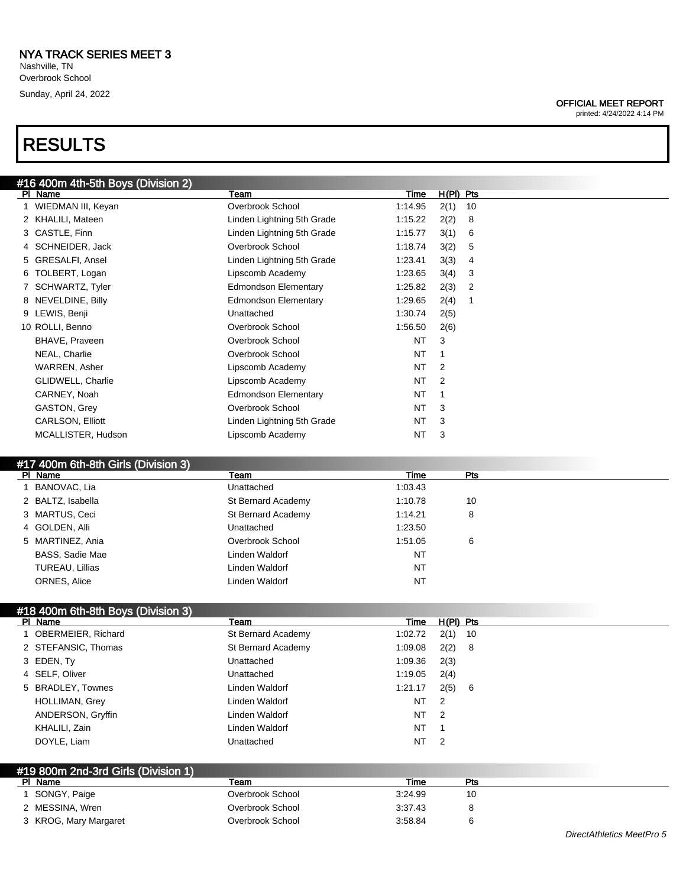Nashville, TN Overbrook School Sunday, April 24, 2022

# RESULTS

## #16 400m 4th-5th Boys (Division 2) PI Name **The H(PI) Pts** Team Team Team Team Time H(PI) Pts 1 WIEDMAN III, Keyan Overbrook School 1:14.95 2(1) 10 2 KHALILI, Mateen Linden Lightning 5th Grade 1:15.22 2(2) 8 3 CASTLE, Finn Linden Lightning 5th Grade 1:15.77 3(1) 6 4 SCHNEIDER, Jack Overbrook School 1:18.74 3(2) 5 5 GRESALFI, Ansel Linden Lightning 5th Grade 1:23.41 3(3) 4 6 TOLBERT, Logan Lipscomb Academy 1:23.65 3(4) 3 7 SCHWARTZ, Tyler Edmondson Elementary 1:25.82 2(3) 2 8 NEVELDINE, Billy **Edmondson Elementary** 1:29.65 2(4) 1 9 LEWIS, Benji Unattached 1:30.74 2(5) 10 ROLLI, Benno Overbrook School 1:56.50 2(6) BHAVE, Praveen **NT** 3 NEAL, Charlie **NEAL, Charlie Community** Overbrook School **NT** 1 WARREN, Asher **NT 2** and 2 and 2 and 2 and 2 and 2 and 2 and 2 and 2 and 2 and 2 and 2 and 2 and 2 and 2 and 2 and 2 and 2 and 2 and 2 and 2 and 2 and 2 and 2 and 2 and 2 and 2 and 2 and 2 and 2 and 2 and 2 and 2 and 2 and GLIDWELL, Charlie **Communist Communist Communist Communist Communist Communist Communist Communist Communist Communist Communist Communist Communist Communist Communist Communist Communist Communist Communist Communist Com** CARNEY, Noah Edmondson Elementary NT 1 GASTON, Grey Contract Contract Contract Contract Contract Overbrook School NT 3

## #17 400m 6th-8th Girls (Division 3)

| PI Name |                   | Team               | Time      | Pts |
|---------|-------------------|--------------------|-----------|-----|
|         | BANOVAC, Lia      | Unattached         | 1:03.43   |     |
|         | 2 BALTZ, Isabella | St Bernard Academy | 1:10.78   | 10  |
|         | 3 MARTUS, Ceci    | St Bernard Academy | 1:14.21   | 8   |
|         | 4 GOLDEN, Alli    | Unattached         | 1:23.50   |     |
|         | 5 MARTINEZ, Ania  | Overbrook School   | 1:51.05   | 6   |
|         | BASS, Sadie Mae   | Linden Waldorf     | <b>NT</b> |     |
|         | TUREAU, Lillias   | Linden Waldorf     | <b>NT</b> |     |
|         | ORNES, Alice      | Linden Waldorf     | NT        |     |

CARLSON, Elliott **Linden Linden Lightning 5th Grade** NT 3 MCALLISTER, Hudson **NEW ACADEM** Lipscomb Academy **NT 3** 

## #18 400m 6th-8th Boys (Division 3) Pl Name Team Time H(Pl) Pts 1 OBERMEIER, Richard St Bernard Academy 1:02.72 2(1) 10 2 STEFANSIC, Thomas St Bernard Academy 1:09.08 2(2) 8 3 EDEN, Ty Unattached 1:09.36 2(3) 4 SELF, Oliver 2(4) 2012 1:19.05 2(4) 5 BRADLEY, Townes Linden Waldorf 1:21.17 2(5) 6 HOLLIMAN, Grey **NT** 2 ANDERSON, Gryffin **Andref Hermit Linden Waldorf** NT 2 KHALILI, Zain **NT** 1 DOYLE, Liam **NT** 2 #19 800m 2nd-3rd Girls (Division 1)

| PI Name               | Team             | Time    | Pts |  |
|-----------------------|------------------|---------|-----|--|
| SONGY, Paige          | Overbrook School | 3:24.99 | 10  |  |
| 2 MESSINA, Wren       | Overbrook School | 3:37.43 |     |  |
| 3 KROG, Mary Margaret | Overbrook School | 3:58.84 |     |  |

OFFICIAL MEET REPORT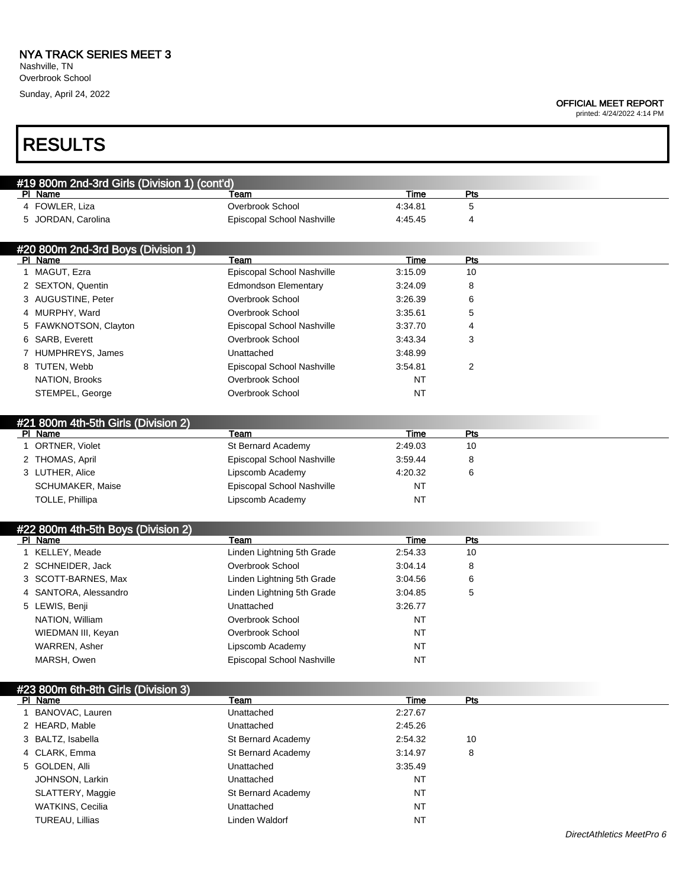## OFFICIAL MEET REPORT

| <b>RESULTS</b>                                          |                             |             |                |                           |
|---------------------------------------------------------|-----------------------------|-------------|----------------|---------------------------|
|                                                         |                             |             |                |                           |
| #19 800m 2nd-3rd Girls (Division 1) (cont'd)<br>PI Name | Team                        | Time        | Pts            |                           |
| 4 FOWLER, Liza                                          | Overbrook School            | 4:34.81     | 5              |                           |
| 5 JORDAN, Carolina                                      | Episcopal School Nashville  | 4:45.45     | 4              |                           |
|                                                         |                             |             |                |                           |
| #20 800m 2nd-3rd Boys (Division 1)<br>PI Name           | Team                        | Time        | <b>Pts</b>     |                           |
| 1 MAGUT, Ezra                                           | Episcopal School Nashville  | 3:15.09     | 10             |                           |
| 2 SEXTON, Quentin                                       | <b>Edmondson Elementary</b> | 3:24.09     | 8              |                           |
| 3 AUGUSTINE, Peter                                      | Overbrook School            | 3:26.39     | 6              |                           |
| 4 MURPHY, Ward                                          | Overbrook School            | 3.35.61     | 5              |                           |
| 5 FAWKNOTSON, Clayton                                   | Episcopal School Nashville  | 3:37.70     | 4              |                           |
| 6 SARB, Everett                                         | Overbrook School            | 3:43.34     | 3              |                           |
| 7 HUMPHREYS, James                                      | Unattached                  | 3:48.99     |                |                           |
|                                                         |                             |             | $\overline{2}$ |                           |
| 8 TUTEN, Webb                                           | Episcopal School Nashville  | 3:54.81     |                |                           |
| NATION, Brooks                                          | Overbrook School            | <b>NT</b>   |                |                           |
| STEMPEL, George                                         | Overbrook School            | <b>NT</b>   |                |                           |
| #21 800m 4th-5th Girls (Division 2)                     |                             |             |                |                           |
| PI Name                                                 | <b>Team</b>                 | Time        | Pts            |                           |
| 1 ORTNER, Violet                                        | St Bernard Academy          | 2:49.03     | 10             |                           |
| 2 THOMAS, April                                         | Episcopal School Nashville  | 3:59.44     | 8              |                           |
| 3 LUTHER, Alice                                         | Lipscomb Academy            | 4:20.32     | 6              |                           |
| <b>SCHUMAKER, Maise</b>                                 | Episcopal School Nashville  | NT          |                |                           |
| TOLLE, Phillipa                                         | Lipscomb Academy            | NT          |                |                           |
| #22 800m 4th-5th Boys (Division 2)                      |                             |             |                |                           |
| PI Name                                                 | Team                        | Time        | Pts            |                           |
| 1 KELLEY, Meade                                         | Linden Lightning 5th Grade  | 2:54.33     | 10             |                           |
| 2 SCHNEIDER, Jack                                       | Overbrook School            | 3:04.14     | 8              |                           |
| 3 SCOTT-BARNES, Max                                     | Linden Lightning 5th Grade  | 3:04.56     | 6              |                           |
| 4 SANTORA, Alessandro                                   | Linden Lightning 5th Grade  | 3:04.85     | 5              |                           |
| 5 LEWIS, Benji                                          | Unattached                  | 3:26.77     |                |                           |
| NATION, William                                         | Overbrook School            | <b>NT</b>   |                |                           |
| WIEDMAN III, Keyan                                      | Overbrook School            | <b>NT</b>   |                |                           |
| WARREN, Asher                                           | Lipscomb Academy            | <b>NT</b>   |                |                           |
| MARSH, Owen                                             | Episcopal School Nashville  | <b>NT</b>   |                |                           |
| #23 800m 6th-8th Girls (Division 3)                     |                             |             |                |                           |
| PI Name                                                 | Team                        | <b>Time</b> | Pts            |                           |
| 1 BANOVAC, Lauren                                       | Unattached                  | 2:27.67     |                |                           |
| 2 HEARD, Mable                                          | Unattached                  | 2:45.26     |                |                           |
| 3 BALTZ, Isabella                                       | St Bernard Academy          | 2:54.32     | 10             |                           |
| 4 CLARK, Emma                                           | St Bernard Academy          | 3:14.97     | 8              |                           |
| 5 GOLDEN, Alli                                          | Unattached                  | 3:35.49     |                |                           |
| JOHNSON, Larkin                                         | Unattached                  | ΝT          |                |                           |
| SLATTERY, Maggie                                        | St Bernard Academy          | NT          |                |                           |
| WATKINS, Cecilia                                        | Unattached                  | NT          |                |                           |
| TUREAU, Lillias                                         | Linden Waldorf              | NT          |                |                           |
|                                                         |                             |             |                | DirectAthletics MeetPro 6 |
|                                                         |                             |             |                |                           |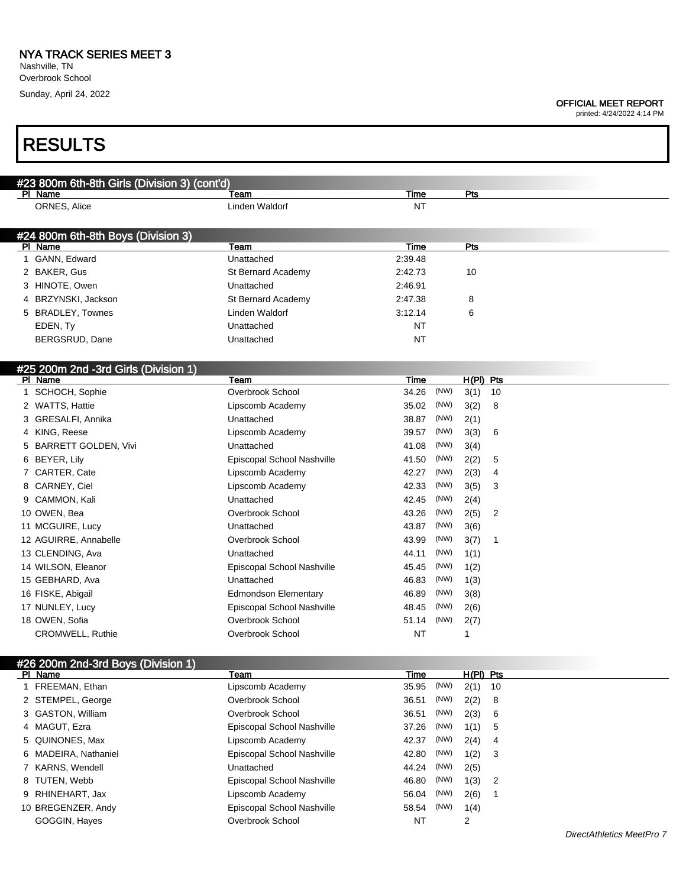### OFFICIAL MEET REPORT

| <b>RESULTS</b>                                  |                             |                 |      |             |             |  |
|-------------------------------------------------|-----------------------------|-----------------|------|-------------|-------------|--|
| #23 800m 6th-8th Girls (Division 3) (cont'd)    |                             |                 |      |             |             |  |
| PI Name                                         | Team                        | Time            |      | Pts         |             |  |
| ORNES, Alice                                    | Linden Waldorf              | <b>NT</b>       |      |             |             |  |
| #24 800m 6th-8th Boys (Division 3)              |                             |                 |      |             |             |  |
| PI Name<br>1 GANN, Edward                       | Team<br>Unattached          | Time<br>2:39.48 |      | Pts         |             |  |
| 2 BAKER, Gus                                    |                             | 2:42.73         |      |             |             |  |
|                                                 | St Bernard Academy          | 2:46.91         |      | 10          |             |  |
| 3 HINOTE, Owen                                  | Unattached                  |                 |      |             |             |  |
| 4 BRZYNSKI, Jackson                             | St Bernard Academy          | 2:47.38         |      | 8           |             |  |
| 5 BRADLEY, Townes                               | Linden Waldorf              | 3:12.14         |      | 6           |             |  |
| EDEN, Ty<br>BERGSRUD, Dane                      | Unattached<br>Unattached    | NT<br>NT        |      |             |             |  |
|                                                 |                             |                 |      |             |             |  |
| #25 200m 2nd -3rd Girls (Division 1)<br>PI Name | Team                        | Time            |      | $H(PI)$ Pts |             |  |
| 1 SCHOCH, Sophie                                | Overbrook School            | 34.26           | (NW) | 3(1)        | 10          |  |
| 2 WATTS, Hattie                                 | Lipscomb Academy            | 35.02           | (NW) | 3(2)        | 8           |  |
| 3 GRESALFI, Annika                              | Unattached                  | 38.87           | (NW) | 2(1)        |             |  |
| 4 KING, Reese                                   | Lipscomb Academy            | 39.57           | (NW) | 3(3)        | 6           |  |
| <b>BARRETT GOLDEN, Vivi</b><br>5                | Unattached                  | 41.08           | (NW) | 3(4)        |             |  |
| 6 BEYER, Lily                                   | Episcopal School Nashville  | 41.50           | (NW) | 2(2)        | 5           |  |
| 7 CARTER, Cate                                  | Lipscomb Academy            | 42.27           | (NW) | 2(3)        | 4           |  |
| 8 CARNEY, Ciel                                  | Lipscomb Academy            | 42.33           | (NW) | 3(5)        | 3           |  |
| 9 CAMMON, Kali                                  | Unattached                  | 42.45           | (NW) | 2(4)        |             |  |
| 10 OWEN, Bea                                    | Overbrook School            | 43.26           | (NW) | 2(5)        | 2           |  |
| 11 MCGUIRE, Lucy                                | Unattached                  | 43.87           | (NW) | 3(6)        |             |  |
| 12 AGUIRRE, Annabelle                           | Overbrook School            | 43.99           | (NW) | 3(7)        | $\mathbf 1$ |  |
| 13 CLENDING, Ava                                | Unattached                  | 44.11           | (NW) | 1(1)        |             |  |
| 14 WILSON, Eleanor                              | Episcopal School Nashville  | 45.45           | (NW) | 1(2)        |             |  |
| 15 GEBHARD, Ava                                 | Unattached                  | 46.83           | (NW) | 1(3)        |             |  |
| 16 FISKE, Abigail                               | <b>Edmondson Elementary</b> | 46.89           | (NW) | 3(8)        |             |  |
| 17 NUNLEY, Lucy                                 | Episcopal School Nashville  | 48.45           | (NW) | 2(6)        |             |  |
| 18 OWEN, Sofia                                  | Overbrook School            | 51.14           | (NW) | 2(7)        |             |  |
| CROMWELL, Ruthie                                | Overbrook School            | <b>NT</b>       |      | 1           |             |  |
|                                                 |                             |                 |      |             |             |  |
| #26 200m 2nd-3rd Boys (Division 1)<br>PI Name   | Team                        | <b>Time</b>     |      | $H(PI)$ Pts |             |  |
| 1 FREEMAN, Ethan                                | Lipscomb Academy            | 35.95           | (NW) | $2(1)$ 10   |             |  |
| 2 STEMPEL, George                               | Overbrook School            | 36.51           | (NW) | 2(2)        | 8           |  |
| 3 GASTON, William                               | Overbrook School            | 36.51           | (NW) | 2(3)        | 6           |  |
| 4 MAGUT Fzra                                    | Enisconal School Nashville  | 37 26 (NW)      |      | 1(1)        | - 5         |  |
|                                                 |                             |                 |      |             |             |  |

| 4 MAGUT, Ezra        | Episcopal School Nashville | 37.26 | (NW)<br>1(1) | -5 |
|----------------------|----------------------------|-------|--------------|----|
| 5 QUINONES, Max      | Lipscomb Academy           | 42.37 | (NW)<br>2(4) | 4  |
| 6 MADEIRA, Nathaniel | Episcopal School Nashville | 42.80 | (NW)<br>1(2) |    |
| 7 KARNS, Wendell     | Unattached                 | 44.24 | (NW)<br>2(5) |    |
| 8 TUTEN, Webb        | Episcopal School Nashville | 46.80 | (NW)<br>1(3) |    |
| 9 RHINEHART, Jax     | Lipscomb Academy           | 56.04 | (NW)<br>2(6) |    |
| 10 BREGENZER, Andy   | Episcopal School Nashville | 58.54 | (NW)<br>1(4) |    |
| GOGGIN, Hayes        | Overbrook School           | NT    |              |    |
|                      |                            |       |              |    |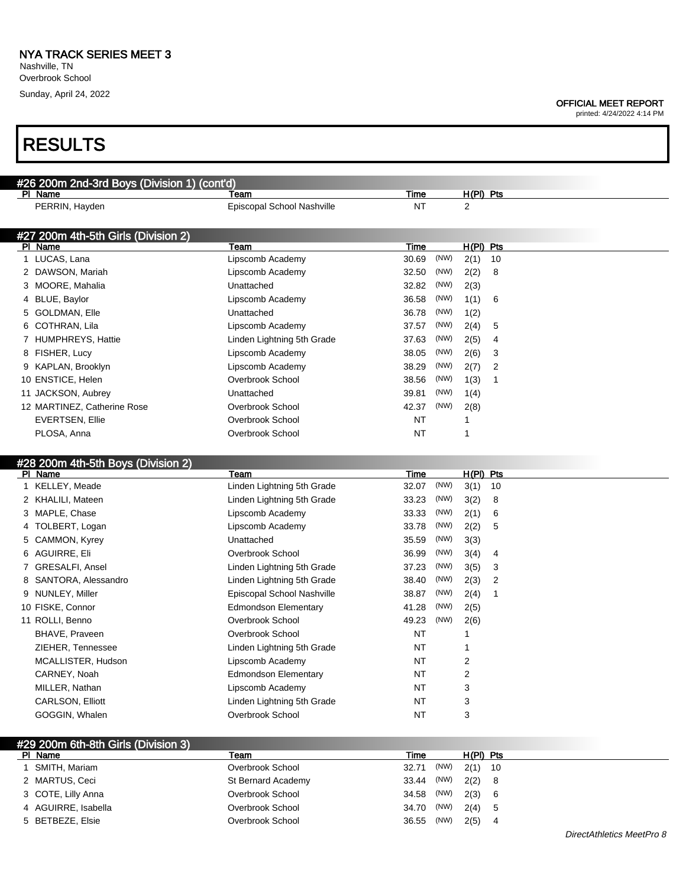#### OFFICIAL MEET REPORT

printed: 4/24/2022 4:14 PM

## RESULTS

|    | #26 200m 2nd-3rd Boys (Division 1) (cont'd) |                             |           |      |                |                |  |
|----|---------------------------------------------|-----------------------------|-----------|------|----------------|----------------|--|
|    | PI Name                                     | Team                        | Time      |      | H(PI) Pts      |                |  |
|    | PERRIN, Hayden                              | Episcopal School Nashville  | <b>NT</b> |      | 2              |                |  |
|    |                                             |                             |           |      |                |                |  |
|    | #27 200m 4th-5th Girls (Division 2)         |                             |           |      |                |                |  |
|    | PI Name                                     | Team                        | Time      |      | H(PI) Pts      |                |  |
|    | 1 LUCAS, Lana                               | Lipscomb Academy            | 30.69     | (NW) | 2(1)           | 10             |  |
|    | 2 DAWSON, Mariah                            | Lipscomb Academy            | 32.50     | (NW) | 2(2)           | 8              |  |
|    | 3 MOORE, Mahalia                            | Unattached                  | 32.82     | (NW) | 2(3)           |                |  |
|    | 4 BLUE, Baylor                              | Lipscomb Academy            | 36.58     | (NW) | 1(1)           | 6              |  |
|    | 5 GOLDMAN, Elle                             | Unattached                  | 36.78     | (NW) | 1(2)           |                |  |
|    | 6 COTHRAN, Lila                             | Lipscomb Academy            | 37.57     | (NW) | 2(4)           | 5              |  |
|    | 7 HUMPHREYS, Hattie                         | Linden Lightning 5th Grade  | 37.63     | (NW) | 2(5)           | $\overline{4}$ |  |
|    | 8 FISHER, Lucy                              | Lipscomb Academy            | 38.05     | (NW) | 2(6)           | 3              |  |
|    | 9 KAPLAN, Brooklyn                          | Lipscomb Academy            | 38.29     | (NW) | 2(7)           | 2              |  |
|    | 10 ENSTICE, Helen                           | Overbrook School            | 38.56     | (NW) | 1(3)           | $\mathbf{1}$   |  |
|    | 11 JACKSON, Aubrey                          | Unattached                  | 39.81     | (NW) | 1(4)           |                |  |
|    | 12 MARTINEZ, Catherine Rose                 | Overbrook School            | 42.37     | (NW) | 2(8)           |                |  |
|    | <b>EVERTSEN, Ellie</b>                      | Overbrook School            | <b>NT</b> |      | 1              |                |  |
|    | PLOSA, Anna                                 | Overbrook School            | <b>NT</b> |      | $\mathbf{1}$   |                |  |
|    |                                             |                             |           |      |                |                |  |
|    |                                             |                             |           |      |                |                |  |
|    | #28 200m 4th-5th Boys (Division 2)          |                             |           |      |                |                |  |
|    | PI Name                                     | Team                        | Time      |      | $H(PI)$ Pts    |                |  |
| 1. | KELLEY, Meade                               | Linden Lightning 5th Grade  | 32.07     | (NW) | 3(1)           | 10             |  |
|    | 2 KHALILI, Mateen                           | Linden Lightning 5th Grade  | 33.23     | (NW) | 3(2)           | 8              |  |
|    | 3 MAPLE, Chase                              | Lipscomb Academy            | 33.33     | (NW) | 2(1)           | 6              |  |
|    | 4 TOLBERT, Logan                            | Lipscomb Academy            | 33.78     | (NW) | 2(2)           | 5              |  |
|    | 5 CAMMON, Kyrey                             | Unattached                  | 35.59     | (NW) | 3(3)           |                |  |
|    | 6 AGUIRRE, Eli                              | Overbrook School            | 36.99     | (NW) | 3(4)           | 4              |  |
| 7  | <b>GRESALFI, Ansel</b>                      | Linden Lightning 5th Grade  | 37.23     | (NW) | 3(5)           | 3              |  |
|    | 8 SANTORA, Alessandro                       | Linden Lightning 5th Grade  | 38.40     | (NW) | 2(3)           | 2              |  |
|    | 9 NUNLEY, Miller                            | Episcopal School Nashville  | 38.87     | (NW) | 2(4)           | $\mathbf{1}$   |  |
|    | 10 FISKE, Connor                            | <b>Edmondson Elementary</b> | 41.28     | (NW) | 2(5)           |                |  |
|    | 11 ROLLI, Benno                             | Overbrook School            | 49.23     | (NW) | 2(6)           |                |  |
|    | BHAVE, Praveen                              | Overbrook School            | <b>NT</b> |      | 1              |                |  |
|    | ZIEHER, Tennessee                           | Linden Lightning 5th Grade  | ΝT        |      | 1              |                |  |
|    | MCALLISTER, Hudson                          | Lipscomb Academy            | <b>NT</b> |      | 2              |                |  |
|    | CARNEY, Noah                                | <b>Edmondson Elementary</b> | <b>NT</b> |      | $\overline{2}$ |                |  |
|    | MILLER, Nathan                              | Lipscomb Academy            | ΝT        |      | 3              |                |  |
|    | <b>CARLSON, Elliott</b>                     | Linden Lightning 5th Grade  | <b>NT</b> |      | 3              |                |  |

| #29 200m 6th-8th Girls (Division 3) |                    |                    |             |  |
|-------------------------------------|--------------------|--------------------|-------------|--|
| PI Name                             | Team               | Time               | $H(PI)$ Pts |  |
| 1 SMITH, Mariam                     | Overbrook School   | 32.71 (NW) 2(1) 10 |             |  |
| 2 MARTUS, Ceci                      | St Bernard Academy | 33.44 (NW) 2(2) 8  |             |  |
| 3 COTE, Lilly Anna                  | Overbrook School   | 34.58 (NW) 2(3) 6  |             |  |
| 4 AGUIRRE, Isabella                 | Overbrook School   | 34.70 (NW) 2(4) 5  |             |  |
| 5 BETBEZE, Elsie                    | Overbrook School   | 36.55 (NW)         | $2(5)$ 4    |  |